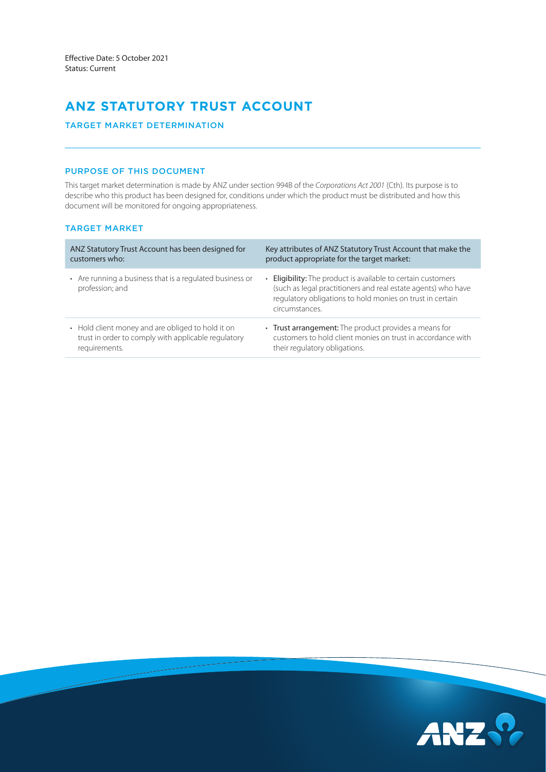# **ANZ STATUTORY TRUST ACCOUNT**

# TARGET MARKET DETERMINATION

## PURPOSE OF THIS DOCUMENT

This target market determination is made by ANZ under section 994B of the *Corporations Act 2001* (Cth). Its purpose is to describe who this product has been designed for, conditions under which the product must be distributed and how this document will be monitored for ongoing appropriateness.

# TARGET MARKET

| ANZ Statutory Trust Account has been designed for                           | Key attributes of ANZ Statutory Trust Account that make the                                                                                                                                                  |
|-----------------------------------------------------------------------------|--------------------------------------------------------------------------------------------------------------------------------------------------------------------------------------------------------------|
| customers who:                                                              | product appropriate for the target market:                                                                                                                                                                   |
| • Are running a business that is a regulated business or<br>profession; and | • Eligibility: The product is available to certain customers<br>(such as legal practitioners and real estate agents) who have<br>regulatory obligations to hold monies on trust in certain<br>circumstances. |
| • Hold client money and are obliged to hold it on                           | • Trust arrangement: The product provides a means for                                                                                                                                                        |
| trust in order to comply with applicable regulatory                         | customers to hold client monies on trust in accordance with                                                                                                                                                  |
| requirements.                                                               | their regulatory obligations.                                                                                                                                                                                |

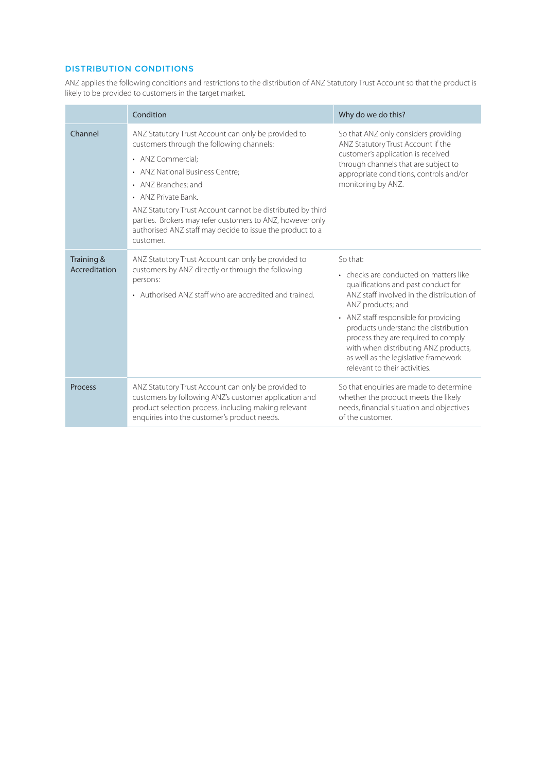# DISTRIBUTION CONDITIONS

ANZ applies the following conditions and restrictions to the distribution of ANZ Statutory Trust Account so that the product is likely to be provided to customers in the target market.

|                             | Condition                                                                                                                                                                                                                                                                                                                                                                                                   | Why do we do this?                                                                                                                                                                                                                                                                                                                                                                                   |  |
|-----------------------------|-------------------------------------------------------------------------------------------------------------------------------------------------------------------------------------------------------------------------------------------------------------------------------------------------------------------------------------------------------------------------------------------------------------|------------------------------------------------------------------------------------------------------------------------------------------------------------------------------------------------------------------------------------------------------------------------------------------------------------------------------------------------------------------------------------------------------|--|
| Channel                     | ANZ Statutory Trust Account can only be provided to<br>customers through the following channels:<br>• ANZ Commercial:<br>• ANZ National Business Centre;<br>• ANZ Branches: and<br>• ANZ Private Bank.<br>ANZ Statutory Trust Account cannot be distributed by third<br>parties. Brokers may refer customers to ANZ, however only<br>authorised ANZ staff may decide to issue the product to a<br>customer. | So that ANZ only considers providing<br>ANZ Statutory Trust Account if the<br>customer's application is received<br>through channels that are subject to<br>appropriate conditions, controls and/or<br>monitoring by ANZ.                                                                                                                                                                            |  |
| Training &<br>Accreditation | ANZ Statutory Trust Account can only be provided to<br>customers by ANZ directly or through the following<br>persons:<br>• Authorised ANZ staff who are accredited and trained.                                                                                                                                                                                                                             | So that:<br>• checks are conducted on matters like<br>qualifications and past conduct for<br>ANZ staff involved in the distribution of<br>ANZ products; and<br>• ANZ staff responsible for providing<br>products understand the distribution<br>process they are required to comply<br>with when distributing ANZ products,<br>as well as the legislative framework<br>relevant to their activities. |  |
| Process                     | ANZ Statutory Trust Account can only be provided to<br>customers by following ANZ's customer application and<br>product selection process, including making relevant<br>enquiries into the customer's product needs.                                                                                                                                                                                        | So that enquiries are made to determine<br>whether the product meets the likely<br>needs, financial situation and objectives<br>of the customer.                                                                                                                                                                                                                                                     |  |